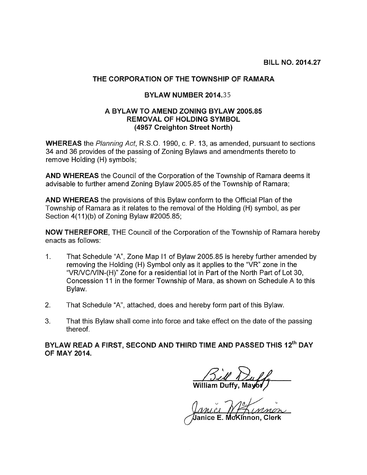## THE CORPORATION OF THE TOWNSHIP OF RAMARA

## BYLAW NUMBER 2014.35

## A BYLAW TO AMEND ZONING BYLAW 2005.85 REMOVAL OF HOLDING SYMBOL (4957 Creighton Street North)

WHEREAS the Planning Act, R.S.O. 1990, c. P. 13, as amended, pursuant to sections 34 and 36 provides of the passing of Zoning Bylaws and amendments thereto to remove Holding (H) symbols;

AND WHEREAS the Council of the Corporation of the Township of Ramara deems it advisable to further amend Zoning Bylaw 2005.85 of the Township of Ramara;

AND WHEREAS the provisions of this Bylaw conform to the Official Plan of the Township of Ramara as it relates to the removal of the Holding (H) symbol, as per Section  $4(11)(b)$  of Zoning Bylaw #2005.85;

NOW THEREFORE, THE Council of the Corporation of the Township of Ramara hereby enacts as follows:

- 1. That Schedule "A", Zone Map II of Bylaw 2005.85 is hereby further amended by removing the Holding (H) Symbol only as it applies to the "VR" zone in the "VRIVCNIN-(H)" Zone for a residential lot in Part of the North Part of Lot 30, Concession 11 in the former Township of Mara, as shown on Schedule A to this Bylaw.
- 2. That Schedule "A", attached, does and hereby form part of this Bylaw.
- 3. That this Bylaw shall come into force and take effect on the date of the passing thereof.

BYLAW READ A FIRST, SECOND AND THIRD TIME AND PASSED THIS 12<sup>th</sup> DAY OF MAY 2014.

<u>Sill William Duff</u><br>am Duffy, Mayor

Janice .ïnnon, Clerk